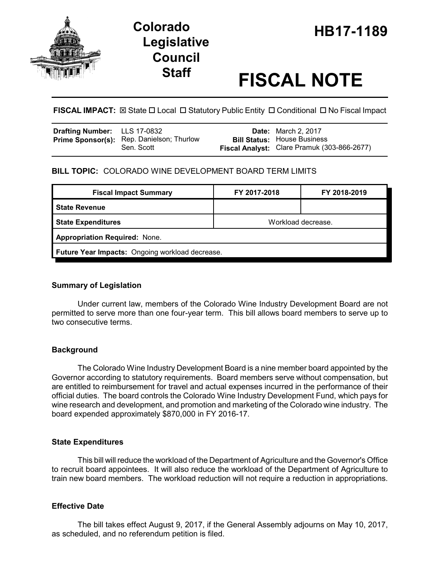

# **Legislative Council**

## **Staff FISCAL NOTE**

**FISCAL IMPACT:** ⊠ State  $\Box$  Local  $\Box$  Statutory Public Entity  $\Box$  Conditional  $\Box$  No Fiscal Impact

| <b>Drafting Number:</b> LLS 17-0832 |                                                  | <b>Date:</b> March 2, 2017                  |
|-------------------------------------|--------------------------------------------------|---------------------------------------------|
|                                     | <b>Prime Sponsor(s):</b> Rep. Danielson; Thurlow | <b>Bill Status: House Business</b>          |
|                                     | Sen. Scott                                       | Fiscal Analyst: Clare Pramuk (303-866-2677) |

#### **BILL TOPIC:** COLORADO WINE DEVELOPMENT BOARD TERM LIMITS

| <b>Fiscal Impact Summary</b>                    | FY 2017-2018       | FY 2018-2019 |  |  |  |
|-------------------------------------------------|--------------------|--------------|--|--|--|
| <b>State Revenue</b>                            |                    |              |  |  |  |
| <b>State Expenditures</b>                       | Workload decrease. |              |  |  |  |
| <b>Appropriation Required: None.</b>            |                    |              |  |  |  |
| Future Year Impacts: Ongoing workload decrease. |                    |              |  |  |  |

#### **Summary of Legislation**

Under current law, members of the Colorado Wine Industry Development Board are not permitted to serve more than one four-year term. This bill allows board members to serve up to two consecutive terms.

#### **Background**

The Colorado Wine Industry Development Board is a nine member board appointed by the Governor according to statutory requirements. Board members serve without compensation, but are entitled to reimbursement for travel and actual expenses incurred in the performance of their official duties. The board controls the Colorado Wine Industry Development Fund, which pays for wine research and development, and promotion and marketing of the Colorado wine industry. The board expended approximately \$870,000 in FY 2016-17.

#### **State Expenditures**

This bill will reduce the workload of the Department of Agriculture and the Governor's Office to recruit board appointees. It will also reduce the workload of the Department of Agriculture to train new board members. The workload reduction will not require a reduction in appropriations.

#### **Effective Date**

The bill takes effect August 9, 2017, if the General Assembly adjourns on May 10, 2017, as scheduled, and no referendum petition is filed.